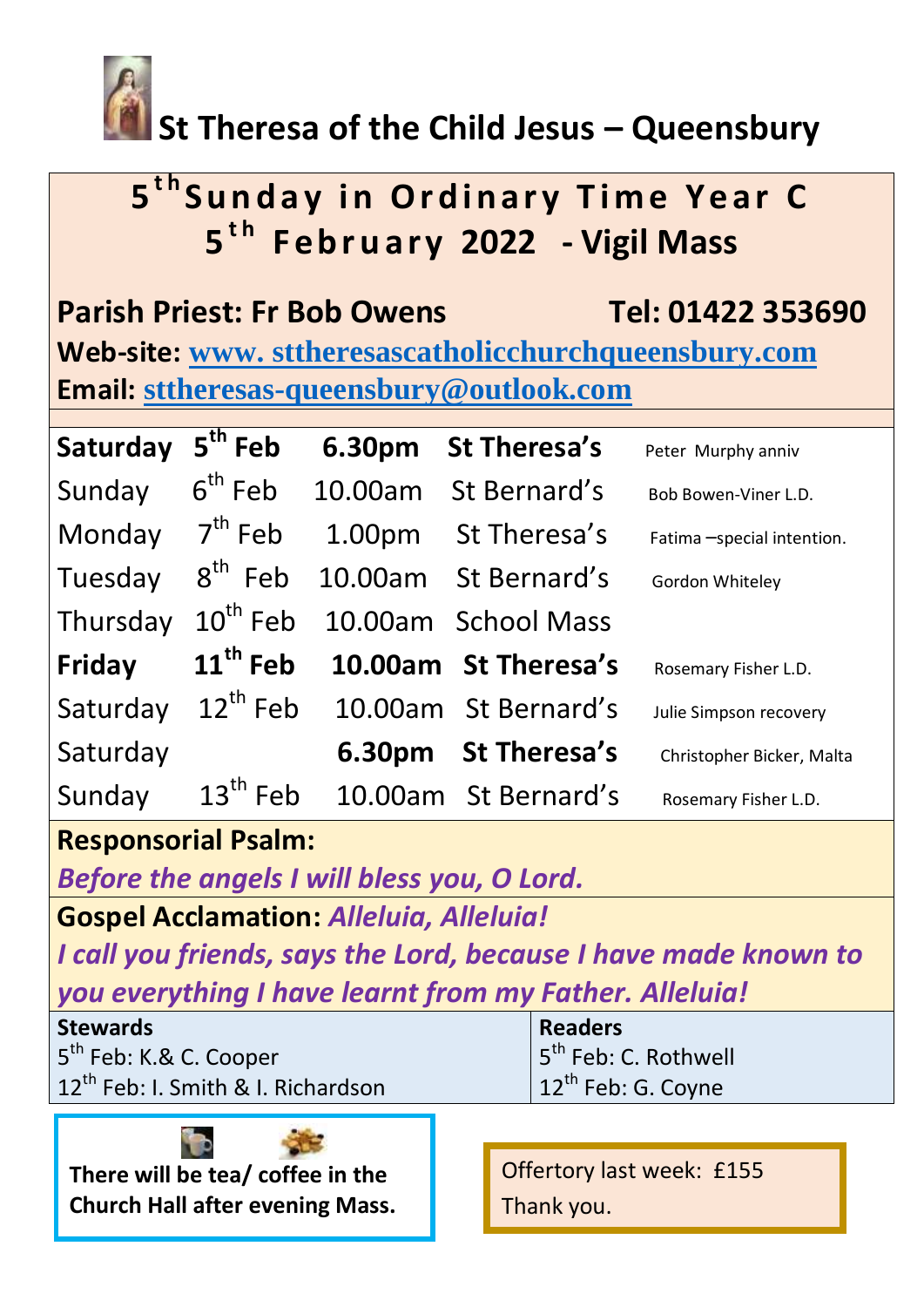

## **St Theresa of the Child Jesus – Queensbury**

# **5<sup>th</sup>Sunday in Ordinary Time Year C 5 t h F e b r u a r y 2022 - Vigil Mass**

**Parish Priest: Fr Bob Owens Tel: 01422 353690 Web-site: www. [sttheresascatholicchurchqueensbury.com](http://www.sttheresascatholicchurchqueensbury.com/) Email: [sttheresas-queensbury@outlook.com](mailto:sttheresas-queensbury@outlook.com)**

| Saturday | 5 <sup>th</sup> Feb  | 6.30pm             | <b>St Theresa's</b>  | Peter Murphy anniv         |
|----------|----------------------|--------------------|----------------------|----------------------------|
| Sunday   | $6th$ Feb            | 10.00am            | St Bernard's         | Bob Bowen-Viner L.D.       |
| Monday   | $7th$ Feb            | 1.00 <sub>pm</sub> | St Theresa's         | Fatima -special intention. |
| Tuesday  | $8th$ Feb            |                    | 10.00am St Bernard's | Gordon Whiteley            |
| Thursday | $10th$ Feb           |                    | 10.00am School Mass  |                            |
| Friday   | 11 <sup>th</sup> Feb |                    | 10.00am St Theresa's | Rosemary Fisher L.D.       |
| Saturday | $12^{th}$ Feb        |                    | 10.00am St Bernard's | Julie Simpson recovery     |
| Saturday |                      |                    | 6.30pm St Theresa's  | Christopher Bicker, Malta  |
| Sunday   | $13th$ Feb           |                    | 10.00am St Bernard's | Rosemary Fisher L.D.       |

### **Responsorial Psalm:**

*Before the angels I will bless you, O Lord.*

**Gospel Acclamation:** *Alleluia, Alleluia!*

*I call you friends, says the Lord, because I have made known to you everything I have learnt from my Father. Alleluia!*

| <b>Stewards</b>                                | <b>Readers</b>                  |  |
|------------------------------------------------|---------------------------------|--|
| 5 <sup>th</sup> Feb: K.& C. Cooper             | $ 5^{th}$ Feb: C. Rothwell      |  |
| 12 <sup>th</sup> Feb: I. Smith & I. Richardson | $ 12^{\text{th}}$ Feb: G. Coyne |  |
|                                                |                                 |  |

**There will be tea/ coffee in the Church Hall after evening Mass.** 

Offertory last week: £155 Thank you.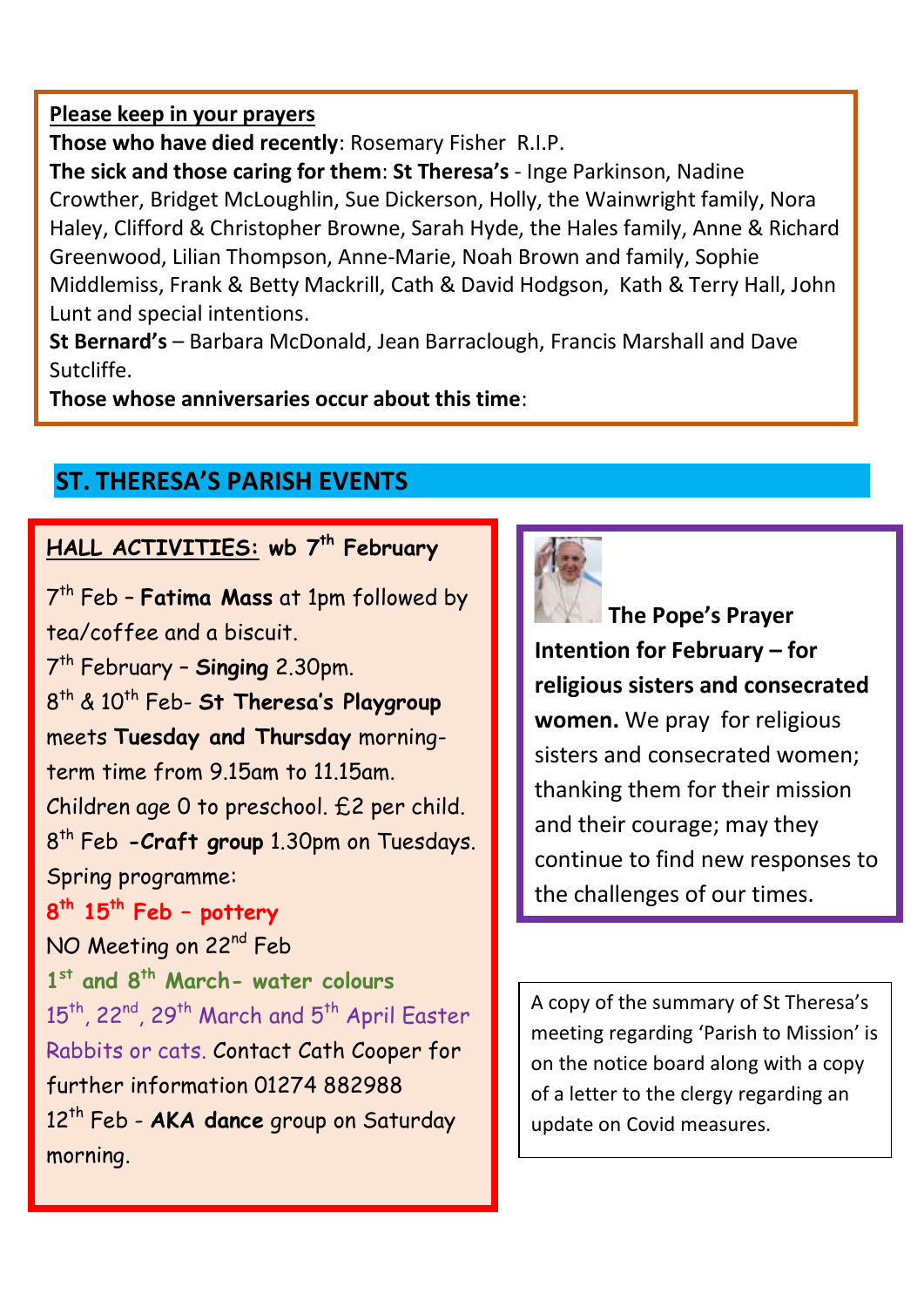#### **Please keep in your prayers**

**Those who have died recently**: Rosemary Fisher R.I.P.

**The sick and those caring for them**: **St Theresa's** - Inge Parkinson, Nadine Crowther, Bridget McLoughlin, Sue Dickerson, Holly, the Wainwright family, Nora Haley, Clifford & Christopher Browne, Sarah Hyde, the Hales family, Anne & Richard Greenwood, Lilian Thompson, Anne-Marie, Noah Brown and family, Sophie Middlemiss, Frank & Betty Mackrill, Cath & David Hodgson, Kath & Terry Hall, John Lunt and special intentions.

**St Bernard's** – Barbara McDonald, Jean Barraclough, Francis Marshall and Dave Sutcliffe.

**Those whose anniversaries occur about this time**:

### **ST. THERESA'S PARISH EVENTS**

#### **HALL ACTIVITIES: wb 7 th February**

7 th Feb – **Fatima Mass** at 1pm followed by tea/coffee and a biscuit.

7 th February – **Singing** 2.30pm. 8 th & 10th Feb- **St Theresa's Playgroup** meets **Tuesday and Thursday** morningterm time from 9.15am to 11.15am. Children age 0 to preschool. £2 per child. 8 th Feb **-Craft group** 1.30pm on Tuesdays. Spring programme:

**8 th 15th Feb – pottery**  NO Meeting on 22<sup>nd</sup> Feb **1 st and 8th March- water colours** 15<sup>th</sup>, 22<sup>nd</sup>, 29<sup>th</sup> March and 5<sup>th</sup> April Easter Rabbits or cats. Contact Cath Cooper for further information 01274 882988 12th Feb - **AKA dance** group on Saturday morning.



**The Pope's Prayer Intention for February – for religious sisters and consecrated women.** We pray for religious sisters and consecrated women; thanking them for their mission and their courage; may they continue to find new responses to the challenges of our times.

A copy of the summary of St Theresa's meeting regarding 'Parish to Mission' is on the notice board along with a copy of a letter to the clergy regarding an update on Covid measures.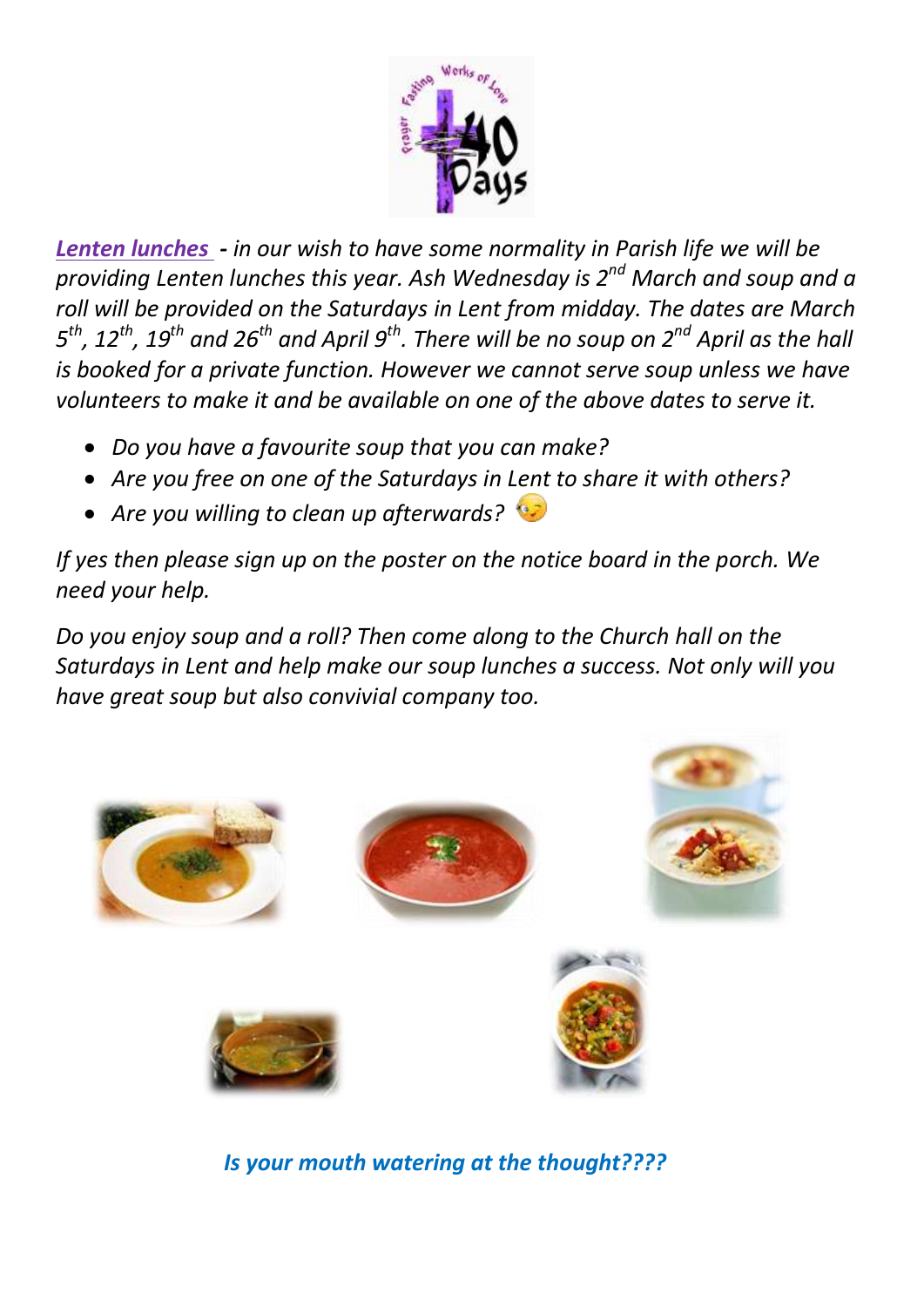

*Lenten lunches - in our wish to have some normality in Parish life we will be providing Lenten lunches this year. Ash Wednesday is 2nd March and soup and a roll will be provided on the Saturdays in Lent from midday. The dates are March 5 th, 12th, 19th and 26th and April 9th. There will be no soup on 2nd April as the hall is booked for a private function. However we cannot serve soup unless we have volunteers to make it and be available on one of the above dates to serve it.*

- *Do you have a favourite soup that you can make?*
- *Are you free on one of the Saturdays in Lent to share it with others?*
- *Are you willing to clean up afterwards?*

*If yes then please sign up on the poster on the notice board in the porch. We need your help.*

*Do you enjoy soup and a roll? Then come along to the Church hall on the Saturdays in Lent and help make our soup lunches a success. Not only will you have great soup but also convivial company too.* 



 *Is your mouth watering at the thought????*